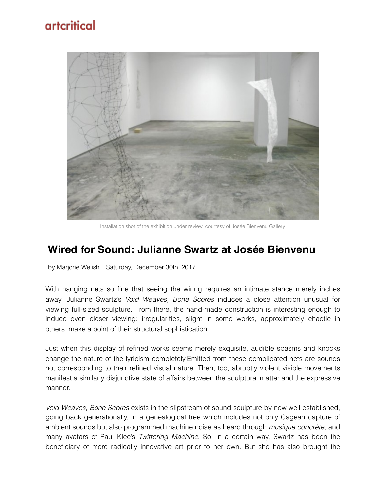## artcritical



Installation shot of the exhibition under review, courtesy of Josée Bienvenu Gallery

## **Wired for Sound: Julianne Swartz at Josée Bienvenu**

by Marjorie Welish | Saturday, December 30th, 2017

With hanging nets so fine that seeing the wiring requires an intimate stance merely inches away, Julianne Swartz's *Void Weaves, Bone Scores* induces a close attention unusual for viewing full-sized sculpture. From there, the hand-made construction is interesting enough to induce even closer viewing: irregularities, slight in some works, approximately chaotic in others, make a point of their structural sophistication.

Just when this display of refined works seems merely exquisite, audible spasms and knocks change the nature of the lyricism completely.Emitted from these complicated nets are sounds not corresponding to their refined visual nature. Then, too, abruptly violent visible movements manifest a similarly disjunctive state of affairs between the sculptural matter and the expressive manner.

*Void Weaves, Bone Scores* exists in the slipstream of sound sculpture by now well established, going back generationally, in a genealogical tree which includes not only Cagean capture of ambient sounds but also programmed machine noise as heard through *musique concrète*, and many avatars of Paul Klee's *Twittering Machine*. So, in a certain way, Swartz has been the beneficiary of more radically innovative art prior to her own. But she has also brought the